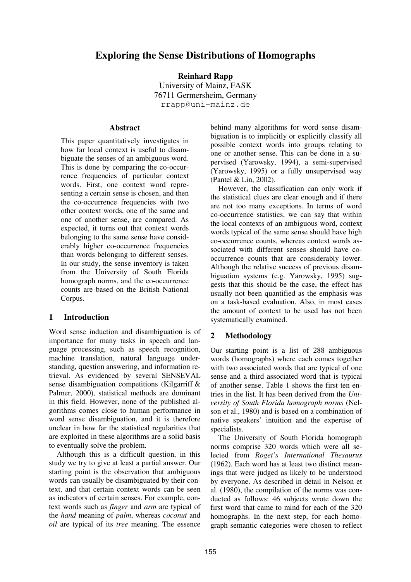# **Exploring the Sense Distributions of Homographs**

**Reinhard Rapp** University of Mainz, FASK 76711 Germersheim, Germany rrapp@uni-mainz.de

#### **Abstract**

This paper quantitatively investigates in how far local context is useful to disambiguate the senses of an ambiguous word. This is done by comparing the co-occurrence frequencies of particular context words. First, one context word representing a certain sense is chosen, and then the co-occurrence frequencies with two other context words, one of the same and one of another sense, are compared. As expected, it turns out that context words belonging to the same sense have considerably higher co-occurrence frequencies than words belonging to different senses. In our study, the sense inventory is taken from the University of South Florida homograph norms, and the co-occurrence counts are based on the British National Corpus.

### **1 Introduction**

Word sense induction and disambiguation is of importance for many tasks in speech and language processing, such as speech recognition, machine translation, natural language understanding, question answering, and information retrieval. As evidenced by several SENSEVAL sense disambiguation competitions (Kilgarriff & Palmer, 2000), statistical methods are dominant in this field. However, none of the published algorithms comes close to human performance in word sense disambiguation, and it is therefore unclear in how far the statistical regularities that are exploited in these algorithms are a solid basis to eventually solve the problem.

Although this is a difficult question, in this study we try to give at least a partial answer. Our starting point is the observation that ambiguous words can usually be disambiguated by their context, and that certain context words can be seen as indicators of certain senses. For example, context words such as *finger* and *arm* are typical of the *hand* meaning of *palm*, whereas *coconut* and *oil* are typical of its *tree* meaning. The essence behind many algorithms for word sense disambiguation is to implicitly or explicitly classify all possible context words into groups relating to one or another sense. This can be done in a supervised (Yarowsky, 1994), a semi-supervised (Yarowsky, 1995) or a fully unsupervised way (Pantel & Lin, 2002).

However, the classification can only work if the statistical clues are clear enough and if there are not too many exceptions. In terms of word co-occurrence statistics, we can say that within the local contexts of an ambiguous word, context words typical of the same sense should have high co-occurrence counts, whereas context words associated with different senses should have cooccurrence counts that are considerably lower. Although the relative success of previous disambiguation systems (e.g. Yarowsky, 1995) suggests that this should be the case, the effect has usually not been quantified as the emphasis was on a task-based evaluation. Also, in most cases the amount of context to be used has not been systematically examined.

# **2 Methodology**

Our starting point is a list of 288 ambiguous words (homographs) where each comes together with two associated words that are typical of one sense and a third associated word that is typical of another sense. Table 1 shows the first ten entries in the list. It has been derived from the *University of South Florida homograph norms* (Nelson et al., 1980) and is based on a combination of native speakers' intuition and the expertise of specialists.

The University of South Florida homograph norms comprise 320 words which were all selected from *Roget's International Thesaurus* (1962). Each word has at least two distinct meanings that were judged as likely to be understood by everyone. As described in detail in Nelson et al. (1980), the compilation of the norms was conducted as follows: 46 subjects wrote down the first word that came to mind for each of the 320 homographs. In the next step, for each homograph semantic categories were chosen to reflect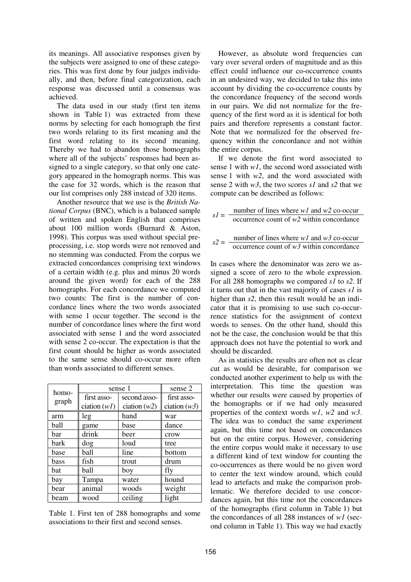its meanings. All associative responses given by the subjects were assigned to one of these categories. This was first done by four judges individually, and then, before final categorization, each response was discussed until a consensus was achieved.

The data used in our study (first ten items shown in Table 1) was extracted from these norms by selecting for each homograph the first two words relating to its first meaning and the first word relating to its second meaning. Thereby we had to abandon those homographs where all of the subjects' responses had been assigned to a single category, so that only one category appeared in the homograph norms. This was the case for 32 words, which is the reason that our list comprises only 288 instead of 320 items.

Another resource that we use is the *British National Corpus* (BNC), which is a balanced sample of written and spoken English that comprises about 100 million words (Burnard & Aston, 1998). This corpus was used without special preprocessing, i.e. stop words were not removed and no stemming was conducted. From the corpus we extracted concordances comprising text windows of a certain width (e.g. plus and minus 20 words around the given word) for each of the 288 homographs. For each concordance we computed two counts: The first is the number of concordance lines where the two words associated with sense 1 occur together. The second is the number of concordance lines where the first word associated with sense 1 and the word associated with sense 2 co-occur. The expectation is that the first count should be higher as words associated to the same sense should co-occur more often than words associated to different senses.

| homo-<br>graph | sense 1                     | sense 2        |                |  |
|----------------|-----------------------------|----------------|----------------|--|
|                | second asso-<br>first asso- |                | first asso-    |  |
|                | ciation $(wI)$              | ciation $(w2)$ | ciation $(w3)$ |  |
| arm            | leg                         | hand           | war            |  |
| ball           | game                        | base           | dance          |  |
| bar            | drink                       | beer           | crow           |  |
| bark           | dog                         | loud           | tree           |  |
| base           | ball                        | line           | bottom         |  |
| bass           | fish                        | trout          | drum           |  |
| bat            | ball                        | boy            | fly            |  |
| bay            | Tampa                       | water          | hound          |  |
| bear           | animal                      | woods          | weight         |  |
| beam           | wood                        | ceiling        | light          |  |

Table 1. First ten of 288 homographs and some associations to their first and second senses.

However, as absolute word frequencies can vary over several orders of magnitude and as this effect could influence our co-occurrence counts in an undesired way, we decided to take this into account by dividing the co-occurrence counts by the concordance frequency of the second words in our pairs. We did not normalize for the frequency of the first word as it is identical for both pairs and therefore represents a constant factor. Note that we normalized for the observed frequency within the concordance and not within the entire corpus.

If we denote the first word associated to sense 1 with *w1*, the second word associated with sense 1 with *w2*, and the word associated with sense 2 with *w3*, the two scores *s1* and *s2* that we compute can be described as follows:

| $sI = -$ | number of lines where $w1$ and $w2$ co-occur |
|----------|----------------------------------------------|
|          | occurrence count of $w^2$ within concordance |
|          |                                              |

 $s^2 =$  <u>number of lines where *w1*</u> and *w3* co-occur occurrence count of *w3* within concordance

In cases where the denominator was zero we assigned a score of zero to the whole expression. For all 288 homographs we compared *s1* to *s2*. If it turns out that in the vast majority of cases *s1* is higher than *s2*, then this result would be an indicator that it is promising to use such co-occurrence statistics for the assignment of context words to senses. On the other hand, should this not be the case, the conclusion would be that this approach does not have the potential to work and should be discarded.

As in statistics the results are often not as clear cut as would be desirable, for comparison we conducted another experiment to help us with the interpretation. This time the question was whether our results were caused by properties of the homographs or if we had only measured properties of the context words *w1*, *w2* and *w3*. The idea was to conduct the same experiment again, but this time not based on concordances but on the entire corpus. However, considering the entire corpus would make it necessary to use a different kind of text window for counting the co-occurrences as there would be no given word to center the text window around, which could lead to artefacts and make the comparison problematic. We therefore decided to use concordances again, but this time not the concordances of the homographs (first column in Table 1) but the concordances of all 288 instances of *w1* (second column in Table 1). This way we had exactly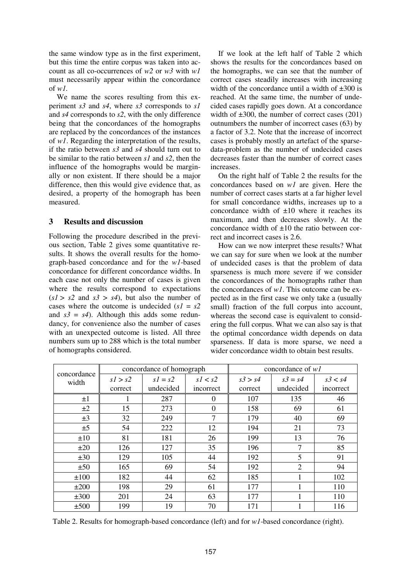the same window type as in the first experiment, but this time the entire corpus was taken into account as all co-occurrences of *w2* or *w3* with *w1* must necessarily appear within the concordance of *w1.*

We name the scores resulting from this experiment *s3* and *s4*, where *s3* corresponds to *s1* and *s4* corresponds to *s2*, with the only difference being that the concordances of the homographs are replaced by the concordances of the instances of *w1*. Regarding the interpretation of the results, if the ratio between *s3* and *s4* should turn out to be similar to the ratio between *s1* and *s2*, then the influence of the homographs would be marginally or non existent. If there should be a major difference, then this would give evidence that, as desired, a property of the homograph has been measured.

#### **3 Results and discussion**

Following the procedure described in the previous section, Table 2 gives some quantitative results. It shows the overall results for the homograph-based concordance and for the *w1*-based concordance for different concordance widths. In each case not only the number of cases is given where the results correspond to expectations  $(s1 > s2$  and  $s3 > s4$ , but also the number of cases where the outcome is undecided  $(s1 = s2)$ and  $s3 = s4$ ). Although this adds some redundancy, for convenience also the number of cases with an unexpected outcome is listed. All three numbers sum up to 288 which is the total number of homographs considered.

If we look at the left half of Table 2 which shows the results for the concordances based on the homographs, we can see that the number of correct cases steadily increases with increasing width of the concordance until a width of  $\pm 300$  is reached. At the same time, the number of undecided cases rapidly goes down. At a concordance width of  $\pm 300$ , the number of correct cases (201) outnumbers the number of incorrect cases (63) by a factor of 3.2. Note that the increase of incorrect cases is probably mostly an artefact of the sparsedata-problem as the number of undecided cases decreases faster than the number of correct cases increases.

On the right half of Table 2 the results for the concordances based on *w1* are given. Here the number of correct cases starts at a far higher level for small concordance widths, increases up to a concordance width of ±10 where it reaches its maximum, and then decreases slowly. At the concordance width of  $\pm 10$  the ratio between correct and incorrect cases is 2.6.

How can we now interpret these results? What we can say for sure when we look at the number of undecided cases is that the problem of data sparseness is much more severe if we consider the concordances of the homographs rather than the concordances of *w1*. This outcome can be expected as in the first case we only take a (usually small) fraction of the full corpus into account, whereas the second case is equivalent to considering the full corpus. What we can also say is that the optimal concordance width depends on data sparseness. If data is more sparse, we need a wider concordance width to obtain best results.

| concordance<br>width | concordance of homograph |           |           | concordance of $wI$ |                |           |
|----------------------|--------------------------|-----------|-----------|---------------------|----------------|-----------|
|                      | s1 > s2                  | $sI = s2$ | s1 < s2   | s3 > s4             | $s3 = s4$      | s3 < s4   |
|                      | correct                  | undecided | incorrect | correct             | undecided      | incorrect |
| $\pm 1$              | 1                        | 287       | $\Omega$  | 107                 | 135            | 46        |
| ±2                   | 15                       | 273       | $\Omega$  | 158                 | 69             | 61        |
| $\pm 3$              | 32                       | 249       | 7         | 179                 | 40             | 69        |
| ±5                   | 54                       | 222       | 12        | 194                 | 21             | 73        |
| $\pm 10$             | 81                       | 181       | 26        | 199                 | 13             | 76        |
| ±20                  | 126                      | 127       | 35        | 196                 | $\overline{7}$ | 85        |
| $\pm 30$             | 129                      | 105       | 44        | 192                 | 5              | 91        |
| ±50                  | 165                      | 69        | 54        | 192                 | $\overline{2}$ | 94        |
| ±100                 | 182                      | 44        | 62        | 185                 |                | 102       |
| ±200                 | 198                      | 29        | 61        | 177                 | 1              | 110       |
| $\pm 300$            | 201                      | 24        | 63        | 177                 |                | 110       |
| ±500                 | 199                      | 19        | 70        | 171                 |                | 116       |

Table 2. Results for homograph-based concordance (left) and for *w1*-based concordance (right).